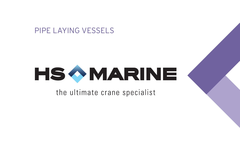## PIPE LAYING VESSELS

# HS & MARINE

the ultimate crane specialist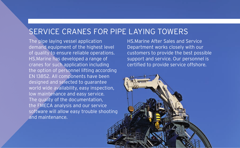### SERVICE CRANES FOR PIPE LAYING TOWERS

The pipe laying vessel application demand equipment of the highest level of quality to ensure reliable operations. HS.Marine has developed a range of cranes for such application including the option of personnel lifting according EN 13852. All components have been designed and selected to guarantee world wide availability, easy inspection, low maintenance and easy service. The quality of the documentation, the FMECA analysis and our service software will allow easy trouble shooting and maintenance.

HS.Marine After Sales and Service Department works closely with our customers to provide the best possible support and service. Our personnel is certified to provide service offshore.

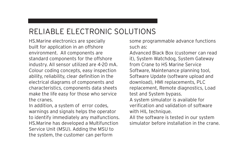### RELIABLE ELECTRONIC SOLUTIONS

HS.Marine electronics are specially built for application in an offshore environment. All components are standard components for the offshore industry. All sensor utilized are 4-20 mA. Colour coding concepts, easy inspection ability, reliability, clear definition in the electrical diagrams of components and characteristics, components data sheets make the life easy for those who service the cranes.

In addition, a system of error codes, warnings and signals helps the operator to identify immediately any malfunctions. HS.Marine has developed a Multifunction Service Unit (MSU). Adding the MSU to the system, the customer can perform

some programmable advance functions such as:

Advanced Black Box (customer can read it), System Watchdog, System Gateway from Crane to HS Marine Service Software, Maintenance planning tool, Software Update (software upload and download), HMI replacements, PLC replacement, Remote diagnostics, Load test and System bypass. A system simulator is available for verification and validation of software with HIL technique.

All the software is tested in our system simulator before installation in the crane.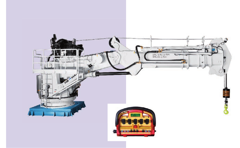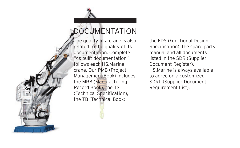

# DOCUMENTATION **PIPE LAYING VESSELS**

The quality of a crane is also related to the quality of its documentation. Complete "As built documentation" follows each HS.Marine crane. Our PMB (Project Management Book) includes the MRB (Manufacturing Record Book), the TS (Technical Specification), the TB (Technical Book),

the FDS (Functional Design Specification), the spare parts manual and all documents listed in the SDR (Supplier Document Register). HS.Marine is always available to agree on a customized SDRL (Supplier Document Requirement List).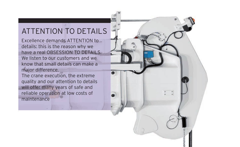#### ATTENTION TO DETAILS ATTENTION TO DETAILS

Excellence demands ATTENTION to details: this is the reason why we have a real OBSESSION TO DETAILS. We listen to our customers and we know that small details can make a major difference.

The crane execution, the extreme quality and our attention to details will offer many years of safe and reliable operation at low costs of maintenance